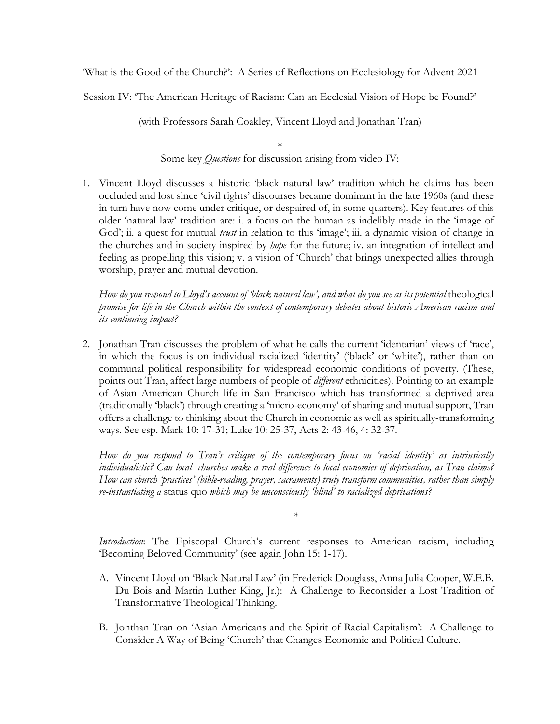'What is the Good of the Church?': A Series of Reflections on Ecclesiology for Advent 2021

Session IV: 'The American Heritage of Racism: Can an Ecclesial Vision of Hope be Found?'

(with Professors Sarah Coakley, Vincent Lloyd and Jonathan Tran)

\* Some key *Questions* for discussion arising from video IV:

1. Vincent Lloyd discusses a historic 'black natural law' tradition which he claims has been occluded and lost since 'civil rights' discourses became dominant in the late 1960s (and these in turn have now come under critique, or despaired of, in some quarters). Key features of this older 'natural law' tradition are: i. a focus on the human as indelibly made in the 'image of God'; ii. a quest for mutual *trust* in relation to this 'image'; iii. a dynamic vision of change in the churches and in society inspired by *hope* for the future; iv. an integration of intellect and feeling as propelling this vision; v. a vision of 'Church' that brings unexpected allies through worship, prayer and mutual devotion.

*How do you respond to Lloyd's account of 'black natural law', and what do you see as its potential* theological *promise for life in the Church within the context of contemporary debates about historic American racism and its continuing impact?*

2. Jonathan Tran discusses the problem of what he calls the current 'identarian' views of 'race', in which the focus is on individual racialized 'identity' ('black' or 'white'), rather than on communal political responsibility for widespread economic conditions of poverty. (These, points out Tran, affect large numbers of people of *different* ethnicities). Pointing to an example of Asian American Church life in San Francisco which has transformed a deprived area (traditionally 'black') through creating a 'micro-economy' of sharing and mutual support, Tran offers a challenge to thinking about the Church in economic as well as spiritually-transforming ways. See esp. Mark 10: 17-31; Luke 10: 25-37, Acts 2: 43-46, 4: 32-37.

*How do you respond to Tran's critique of the contemporary focus on 'racial identity' as intrinsically individualistic? Can local churches make a real difference to local economies of deprivation, as Tran claims? How can church 'practices' (bible-reading, prayer, sacraments) truly transform communities, rather than simply re-instantiating a* status quo *which may be unconsciously 'blind' to racialized deprivations?*

*Introduction*: The Episcopal Church's current responses to American racism, including 'Becoming Beloved Community' (see again John 15: 1-17).

\*

- A. Vincent Lloyd on 'Black Natural Law' (in Frederick Douglass, Anna Julia Cooper, W.E.B. Du Bois and Martin Luther King, Jr.): A Challenge to Reconsider a Lost Tradition of Transformative Theological Thinking.
- B. Jonthan Tran on 'Asian Americans and the Spirit of Racial Capitalism': A Challenge to Consider A Way of Being 'Church' that Changes Economic and Political Culture.